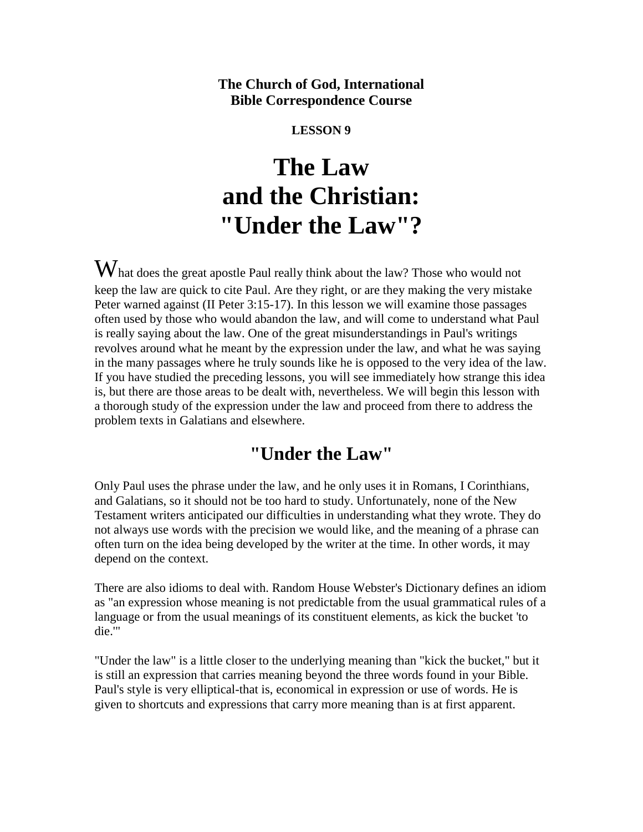#### **The Church of God, International Bible Correspondence Course**

#### **LESSON 9**

# **The Law and the Christian: "Under the Law"?**

What does the great apostle Paul really think about the law? Those who would not keep the law are quick to cite Paul. Are they right, or are they making the very mistake Peter warned against (II Peter 3:15-17). In this lesson we will examine those passages often used by those who would abandon the law, and will come to understand what Paul is really saying about the law. One of the great misunderstandings in Paul's writings revolves around what he meant by the expression under the law, and what he was saying in the many passages where he truly sounds like he is opposed to the very idea of the law. If you have studied the preceding lessons, you will see immediately how strange this idea is, but there are those areas to be dealt with, nevertheless. We will begin this lesson with a thorough study of the expression under the law and proceed from there to address the problem texts in Galatians and elsewhere.

## **"Under the Law"**

Only Paul uses the phrase under the law, and he only uses it in Romans, I Corinthians, and Galatians, so it should not be too hard to study. Unfortunately, none of the New Testament writers anticipated our difficulties in understanding what they wrote. They do not always use words with the precision we would like, and the meaning of a phrase can often turn on the idea being developed by the writer at the time. In other words, it may depend on the context.

There are also idioms to deal with. Random House Webster's Dictionary defines an idiom as "an expression whose meaning is not predictable from the usual grammatical rules of a language or from the usual meanings of its constituent elements, as kick the bucket 'to die.'"

"Under the law" is a little closer to the underlying meaning than "kick the bucket," but it is still an expression that carries meaning beyond the three words found in your Bible. Paul's style is very elliptical-that is, economical in expression or use of words. He is given to shortcuts and expressions that carry more meaning than is at first apparent.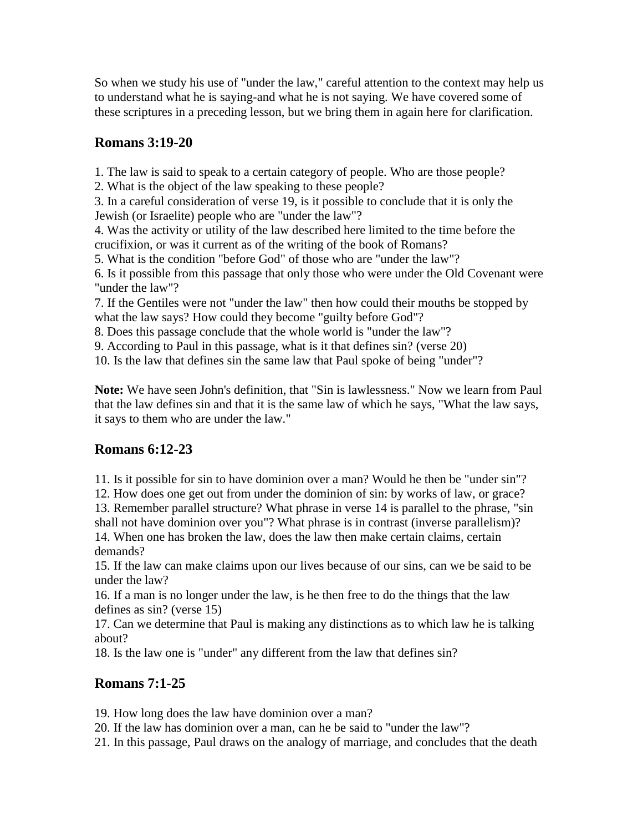So when we study his use of "under the law," careful attention to the context may help us to understand what he is saying-and what he is not saying. We have covered some of these scriptures in a preceding lesson, but we bring them in again here for clarification.

#### **Romans 3:19-20**

1. The law is said to speak to a certain category of people. Who are those people?

2. What is the object of the law speaking to these people?

3. In a careful consideration of verse 19, is it possible to conclude that it is only the Jewish (or Israelite) people who are "under the law"?

4. Was the activity or utility of the law described here limited to the time before the crucifixion, or was it current as of the writing of the book of Romans?

5. What is the condition "before God" of those who are "under the law"?

6. Is it possible from this passage that only those who were under the Old Covenant were "under the law"?

7. If the Gentiles were not "under the law" then how could their mouths be stopped by what the law says? How could they become "guilty before God"?

8. Does this passage conclude that the whole world is "under the law"?

9. According to Paul in this passage, what is it that defines sin? (verse 20)

10. Is the law that defines sin the same law that Paul spoke of being "under"?

**Note:** We have seen John's definition, that "Sin is lawlessness." Now we learn from Paul that the law defines sin and that it is the same law of which he says, "What the law says, it says to them who are under the law."

### **Romans 6:12-23**

11. Is it possible for sin to have dominion over a man? Would he then be "under sin"?

12. How does one get out from under the dominion of sin: by works of law, or grace?

13. Remember parallel structure? What phrase in verse 14 is parallel to the phrase, "sin shall not have dominion over you"? What phrase is in contrast (inverse parallelism)? 14. When one has broken the law, does the law then make certain claims, certain demands?

15. If the law can make claims upon our lives because of our sins, can we be said to be under the law?

16. If a man is no longer under the law, is he then free to do the things that the law defines as sin? (verse 15)

17. Can we determine that Paul is making any distinctions as to which law he is talking about?

18. Is the law one is "under" any different from the law that defines sin?

#### **Romans 7:1-25**

19. How long does the law have dominion over a man?

20. If the law has dominion over a man, can he be said to "under the law"?

21. In this passage, Paul draws on the analogy of marriage, and concludes that the death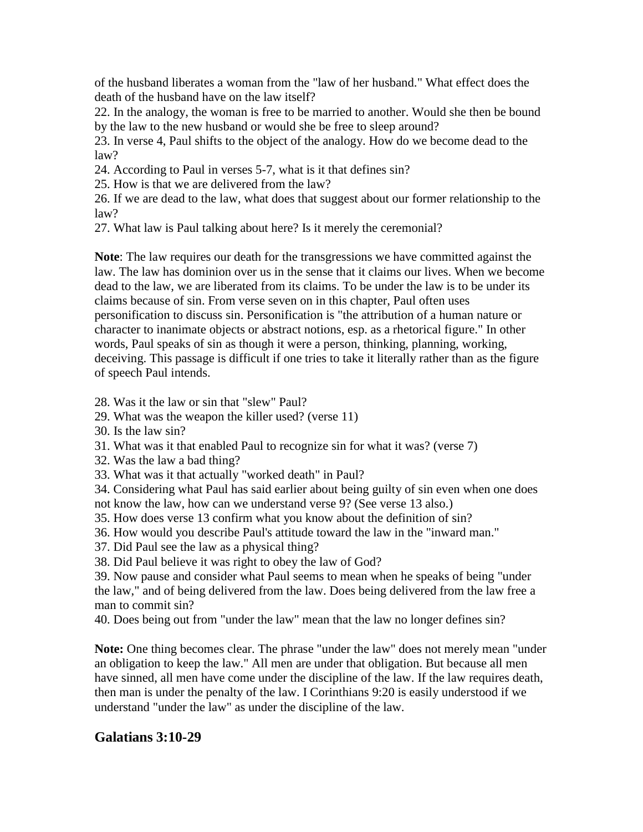of the husband liberates a woman from the "law of her husband." What effect does the death of the husband have on the law itself?

22. In the analogy, the woman is free to be married to another. Would she then be bound by the law to the new husband or would she be free to sleep around?

23. In verse 4, Paul shifts to the object of the analogy. How do we become dead to the law?

24. According to Paul in verses 5-7, what is it that defines sin?

25. How is that we are delivered from the law?

26. If we are dead to the law, what does that suggest about our former relationship to the law?

27. What law is Paul talking about here? Is it merely the ceremonial?

**Note**: The law requires our death for the transgressions we have committed against the law. The law has dominion over us in the sense that it claims our lives. When we become dead to the law, we are liberated from its claims. To be under the law is to be under its claims because of sin. From verse seven on in this chapter, Paul often uses personification to discuss sin. Personification is "the attribution of a human nature or character to inanimate objects or abstract notions, esp. as a rhetorical figure." In other words, Paul speaks of sin as though it were a person, thinking, planning, working, deceiving. This passage is difficult if one tries to take it literally rather than as the figure of speech Paul intends.

28. Was it the law or sin that "slew" Paul?

- 29. What was the weapon the killer used? (verse 11)
- 30. Is the law sin?
- 31. What was it that enabled Paul to recognize sin for what it was? (verse 7)
- 32. Was the law a bad thing?
- 33. What was it that actually "worked death" in Paul?

34. Considering what Paul has said earlier about being guilty of sin even when one does

- not know the law, how can we understand verse 9? (See verse 13 also.)
- 35. How does verse 13 confirm what you know about the definition of sin?
- 36. How would you describe Paul's attitude toward the law in the "inward man."
- 37. Did Paul see the law as a physical thing?
- 38. Did Paul believe it was right to obey the law of God?

39. Now pause and consider what Paul seems to mean when he speaks of being "under the law," and of being delivered from the law. Does being delivered from the law free a man to commit sin?

40. Does being out from "under the law" mean that the law no longer defines sin?

**Note:** One thing becomes clear. The phrase "under the law" does not merely mean "under an obligation to keep the law." All men are under that obligation. But because all men have sinned, all men have come under the discipline of the law. If the law requires death, then man is under the penalty of the law. I Corinthians 9:20 is easily understood if we understand "under the law" as under the discipline of the law.

#### **Galatians 3:10-29**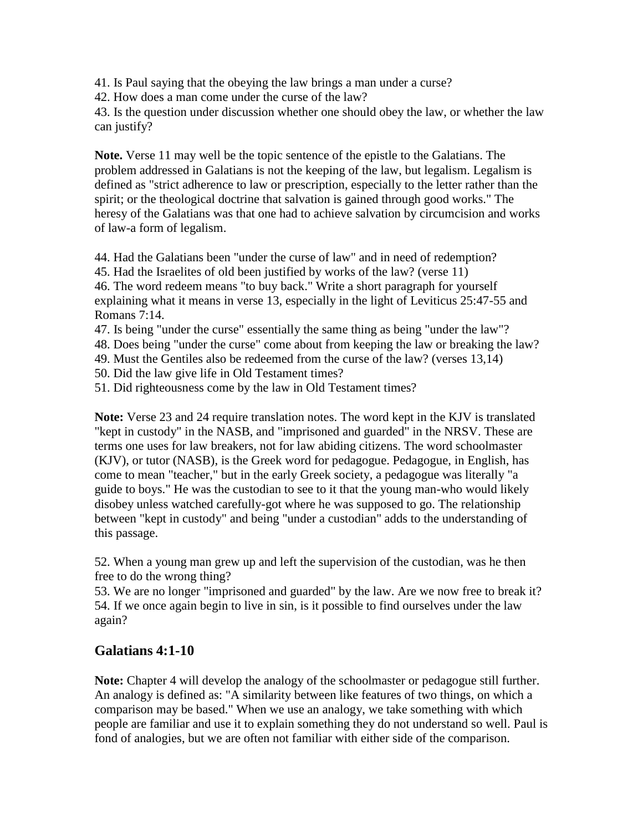41. Is Paul saying that the obeying the law brings a man under a curse?

42. How does a man come under the curse of the law?

43. Is the question under discussion whether one should obey the law, or whether the law can justify?

**Note.** Verse 11 may well be the topic sentence of the epistle to the Galatians. The problem addressed in Galatians is not the keeping of the law, but legalism. Legalism is defined as "strict adherence to law or prescription, especially to the letter rather than the spirit; or the theological doctrine that salvation is gained through good works." The heresy of the Galatians was that one had to achieve salvation by circumcision and works of law-a form of legalism.

44. Had the Galatians been "under the curse of law" and in need of redemption?

45. Had the Israelites of old been justified by works of the law? (verse 11)

46. The word redeem means "to buy back." Write a short paragraph for yourself explaining what it means in verse 13, especially in the light of Leviticus 25:47-55 and Romans 7:14.

47. Is being "under the curse" essentially the same thing as being "under the law"?

48. Does being "under the curse" come about from keeping the law or breaking the law?

49. Must the Gentiles also be redeemed from the curse of the law? (verses 13,14)

50. Did the law give life in Old Testament times?

51. Did righteousness come by the law in Old Testament times?

**Note:** Verse 23 and 24 require translation notes. The word kept in the KJV is translated "kept in custody" in the NASB, and "imprisoned and guarded" in the NRSV. These are terms one uses for law breakers, not for law abiding citizens. The word schoolmaster (KJV), or tutor (NASB), is the Greek word for pedagogue. Pedagogue, in English, has come to mean "teacher," but in the early Greek society, a pedagogue was literally "a guide to boys." He was the custodian to see to it that the young man-who would likely disobey unless watched carefully-got where he was supposed to go. The relationship between "kept in custody" and being "under a custodian" adds to the understanding of this passage.

52. When a young man grew up and left the supervision of the custodian, was he then free to do the wrong thing?

53. We are no longer "imprisoned and guarded" by the law. Are we now free to break it? 54. If we once again begin to live in sin, is it possible to find ourselves under the law again?

#### **Galatians 4:1-10**

**Note:** Chapter 4 will develop the analogy of the schoolmaster or pedagogue still further. An analogy is defined as: "A similarity between like features of two things, on which a comparison may be based." When we use an analogy, we take something with which people are familiar and use it to explain something they do not understand so well. Paul is fond of analogies, but we are often not familiar with either side of the comparison.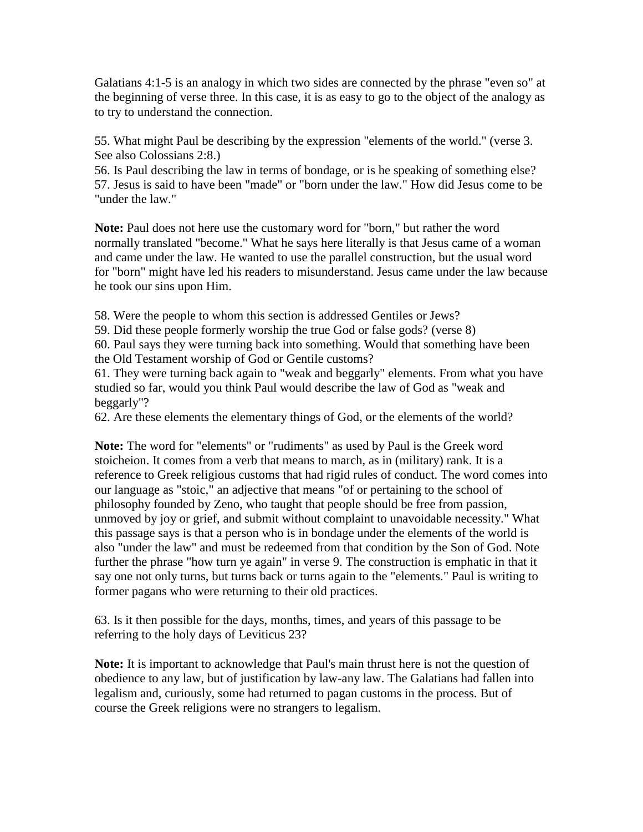Galatians 4:1-5 is an analogy in which two sides are connected by the phrase "even so" at the beginning of verse three. In this case, it is as easy to go to the object of the analogy as to try to understand the connection.

55. What might Paul be describing by the expression "elements of the world." (verse 3. See also Colossians 2:8.)

56. Is Paul describing the law in terms of bondage, or is he speaking of something else? 57. Jesus is said to have been "made" or "born under the law." How did Jesus come to be "under the law."

**Note:** Paul does not here use the customary word for "born," but rather the word normally translated "become." What he says here literally is that Jesus came of a woman and came under the law. He wanted to use the parallel construction, but the usual word for "born" might have led his readers to misunderstand. Jesus came under the law because he took our sins upon Him.

58. Were the people to whom this section is addressed Gentiles or Jews?

59. Did these people formerly worship the true God or false gods? (verse 8)

60. Paul says they were turning back into something. Would that something have been

the Old Testament worship of God or Gentile customs?

61. They were turning back again to "weak and beggarly" elements. From what you have studied so far, would you think Paul would describe the law of God as "weak and beggarly"?

62. Are these elements the elementary things of God, or the elements of the world?

**Note:** The word for "elements" or "rudiments" as used by Paul is the Greek word stoicheion. It comes from a verb that means to march, as in (military) rank. It is a reference to Greek religious customs that had rigid rules of conduct. The word comes into our language as "stoic," an adjective that means "of or pertaining to the school of philosophy founded by Zeno, who taught that people should be free from passion, unmoved by joy or grief, and submit without complaint to unavoidable necessity." What this passage says is that a person who is in bondage under the elements of the world is also "under the law" and must be redeemed from that condition by the Son of God. Note further the phrase "how turn ye again" in verse 9. The construction is emphatic in that it say one not only turns, but turns back or turns again to the "elements." Paul is writing to former pagans who were returning to their old practices.

63. Is it then possible for the days, months, times, and years of this passage to be referring to the holy days of Leviticus 23?

**Note:** It is important to acknowledge that Paul's main thrust here is not the question of obedience to any law, but of justification by law-any law. The Galatians had fallen into legalism and, curiously, some had returned to pagan customs in the process. But of course the Greek religions were no strangers to legalism.